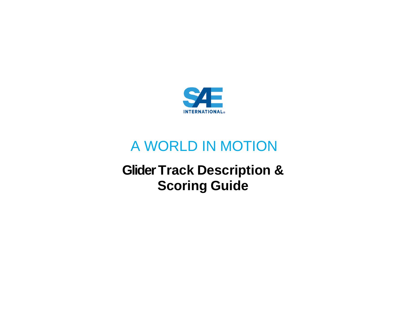

# A WORLD IN MOTION

# **GliderTrack Description & Scoring Guide**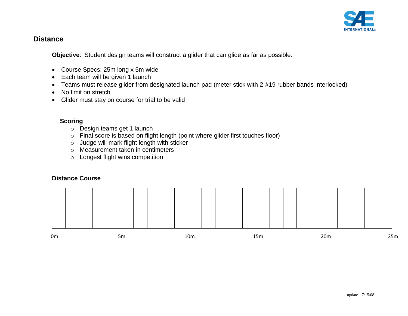

## **Distance**

**Objective**: Student design teams will construct a glider that can glide as far as possible.

- Course Specs: 25m long x 5m wide
- Each team will be given 1 launch
- Teams must release glider from designated launch pad (meter stick with 2-#19 rubber bands interlocked)
- No limit on stretch
- Glider must stay on course for trial to be valid

### **Scoring**

- o Design teams get 1 launch
- o Final score is based on flight length (point where glider first touches floor)
- o Judge will mark flight length with sticker
- o Measurement taken in centimeters
- o Longest flight wins competition

### **Distance Course**

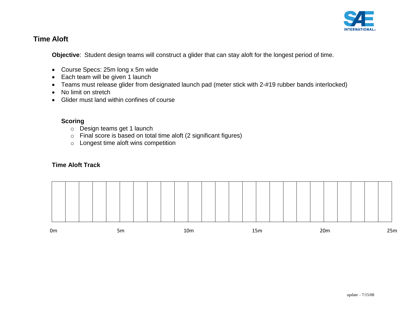

# **Time Aloft**

**Objective**: Student design teams will construct a glider that can stay aloft for the longest period of time.

- Course Specs: 25m long x 5m wide
- Each team will be given 1 launch
- Teams must release glider from designated launch pad (meter stick with 2-#19 rubber bands interlocked)
- No limit on stretch
- Glider must land within confines of course

### **Scoring**

- o Design teams get 1 launch
- o Final score is based on total time aloft (2 significant figures)
- o Longest time aloft wins competition

### **Time Aloft Track**

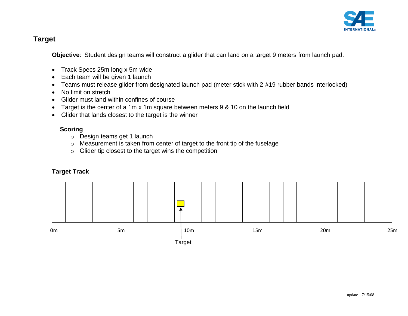

# **Target**

**Objective**: Student design teams will construct a glider that can land on a target 9 meters from launch pad.

- Track Specs 25m long x 5m wide
- Each team will be given 1 launch
- Teams must release glider from designated launch pad (meter stick with 2-#19 rubber bands interlocked)
- No limit on stretch
- Glider must land within confines of course
- Target is the center of a 1m x 1m square between meters 9 & 10 on the launch field
- Glider that lands closest to the target is the winner

### **Scoring**

- o Design teams get 1 launch
- o Measurement is taken from center of target to the front tip of the fuselage
- o Glider tip closest to the target wins the competition

# **Target Track**

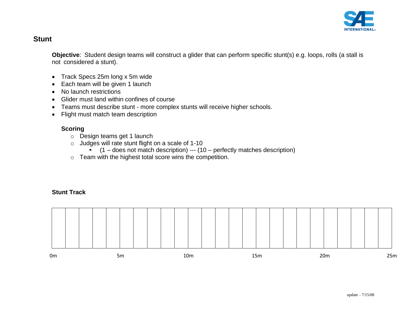

# **Stunt**

**Objective**: Student design teams will construct a glider that can perform specific stunt(s) e.g. loops, rolls (a stall is not considered a stunt).

- Track Specs 25m long x 5m wide
- Each team will be given 1 launch
- No launch restrictions
- Glider must land within confines of course
- Teams must describe stunt more complex stunts will receive higher schools.
- Flight must match team description

### **Scoring**

- o Design teams get 1 launch
- o Judges will rate stunt flight on a scale of 1-10
	- $\bullet$  (1 does not match description) --- (10 perfectly matches description)
- o Team with the highest total score wins the competition.

## **Stunt Track**